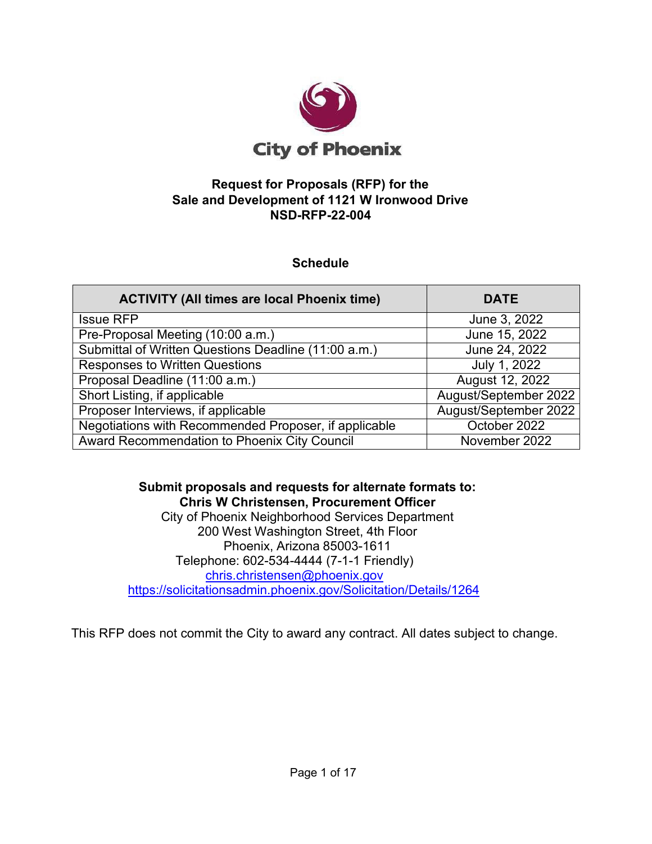

# **Request for Proposals (RFP) for the Sale and Development of 1121 W Ironwood Drive NSD-RFP-22-004**

# **Schedule**

| <b>ACTIVITY (All times are local Phoenix time)</b>    | <b>DATE</b>           |
|-------------------------------------------------------|-----------------------|
| <b>Issue RFP</b>                                      | June 3, 2022          |
| Pre-Proposal Meeting (10:00 a.m.)                     | June 15, 2022         |
| Submittal of Written Questions Deadline (11:00 a.m.)  | June 24, 2022         |
| <b>Responses to Written Questions</b>                 | July 1, 2022          |
| Proposal Deadline (11:00 a.m.)                        | August 12, 2022       |
| Short Listing, if applicable                          | August/September 2022 |
| Proposer Interviews, if applicable                    | August/September 2022 |
| Negotiations with Recommended Proposer, if applicable | October 2022          |
| Award Recommendation to Phoenix City Council          | November 2022         |

**Submit proposals and requests for alternate formats to: Chris W Christensen, Procurement Officer** City of Phoenix Neighborhood Services Department 200 West Washington Street, 4th Floor Phoenix, Arizona 85003-1611 Telephone: 602-534-4444 (7-1-1 Friendly) [chris.christensen@phoenix.gov](mailto:chris.christensen@phoenix.gov) <https://solicitationsadmin.phoenix.gov/Solicitation/Details/1264>

This RFP does not commit the City to award any contract. All dates subject to change.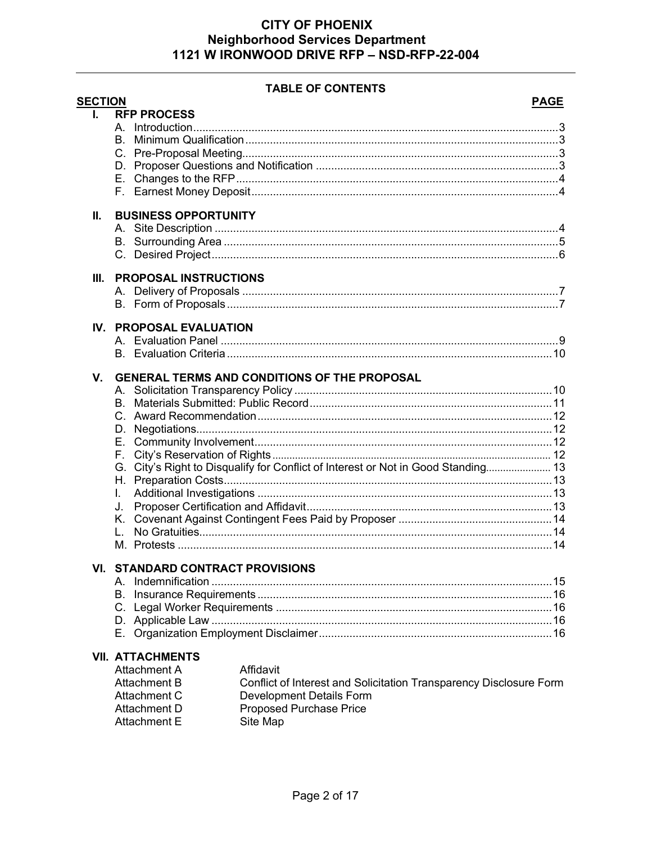#### **TABLE OF CONTENTS**

| <b>SECTION</b> |                                         |                                                                                   | <b>PAGE</b> |
|----------------|-----------------------------------------|-----------------------------------------------------------------------------------|-------------|
| L.             | <b>RFP PROCESS</b>                      |                                                                                   |             |
|                |                                         |                                                                                   |             |
|                |                                         |                                                                                   |             |
|                |                                         |                                                                                   |             |
|                |                                         |                                                                                   |             |
|                |                                         |                                                                                   |             |
|                |                                         |                                                                                   |             |
| Ш.             | <b>BUSINESS OPPORTUNITY</b>             |                                                                                   |             |
|                |                                         |                                                                                   |             |
|                |                                         |                                                                                   |             |
|                |                                         |                                                                                   |             |
| III.           | <b>PROPOSAL INSTRUCTIONS</b>            |                                                                                   |             |
|                |                                         |                                                                                   |             |
|                |                                         |                                                                                   |             |
| IV.            | <b>PROPOSAL EVALUATION</b>              |                                                                                   |             |
|                |                                         |                                                                                   |             |
|                |                                         |                                                                                   |             |
| V.             |                                         | <b>GENERAL TERMS AND CONDITIONS OF THE PROPOSAL</b>                               |             |
|                |                                         |                                                                                   |             |
|                |                                         |                                                                                   |             |
|                |                                         |                                                                                   |             |
|                |                                         |                                                                                   |             |
|                |                                         |                                                                                   |             |
|                |                                         |                                                                                   |             |
|                |                                         | G. City's Right to Disqualify for Conflict of Interest or Not in Good Standing 13 |             |
|                |                                         |                                                                                   |             |
|                | L.                                      |                                                                                   |             |
|                |                                         |                                                                                   |             |
|                |                                         |                                                                                   |             |
|                |                                         |                                                                                   |             |
|                |                                         |                                                                                   |             |
|                | <b>VI. STANDARD CONTRACT PROVISIONS</b> |                                                                                   |             |
|                |                                         |                                                                                   |             |
|                |                                         |                                                                                   |             |
|                |                                         |                                                                                   |             |
|                |                                         |                                                                                   |             |
|                |                                         |                                                                                   |             |
|                | <b>VII. ATTACHMENTS</b>                 |                                                                                   |             |
|                | Attachment A                            | Affidavit                                                                         |             |
|                | <b>Attachment B</b>                     | Conflict of Interest and Solicitation Transparency Disclosure Form                |             |
|                | Attachment C                            | Development Details Form                                                          |             |
|                | Attachment D                            | <b>Proposed Purchase Price</b>                                                    |             |
|                | <b>Attachment E</b>                     | Site Map                                                                          |             |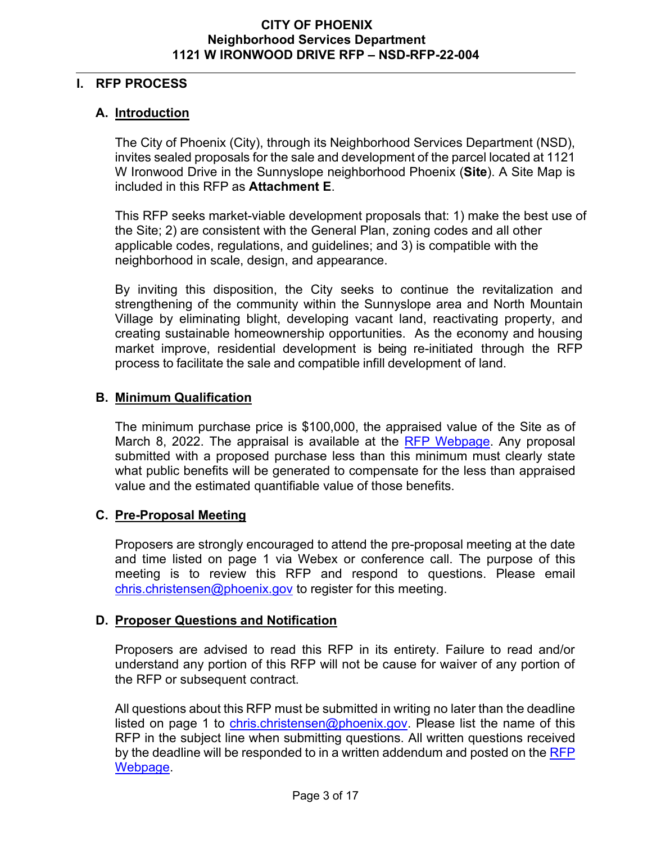# <span id="page-2-0"></span>**I. RFP PROCESS**

# **A. Introduction**

The City of Phoenix (City), through its Neighborhood Services Department (NSD), invites sealed proposals for the sale and development of the parcel located at 1121 W Ironwood Drive in the Sunnyslope neighborhood Phoenix (**Site**). A Site Map is included in this RFP as **Attachment E**.

This RFP seeks market-viable development proposals that: 1) make the best use of the Site; 2) are consistent with the General Plan, zoning codes and all other applicable codes, regulations, and guidelines; and 3) is compatible with the neighborhood in scale, design, and appearance.

By inviting this disposition, the City seeks to continue the revitalization and strengthening of the community within the Sunnyslope area and North Mountain Village by eliminating blight, developing vacant land, reactivating property, and creating sustainable homeownership opportunities. As the economy and housing market improve, residential development is being re-initiated through the RFP process to facilitate the sale and compatible infill development of land.

# <span id="page-2-1"></span>**B. Minimum Qualification**

The minimum purchase price is \$100,000, the appraised value of the Site as of March 8, 2022. The appraisal is available at the [RFP Webpage.](https://solicitations.phoenix.gov/) Any proposal submitted with a proposed purchase less than this minimum must clearly state what public benefits will be generated to compensate for the less than appraised value and the estimated quantifiable value of those benefits.

# <span id="page-2-2"></span>**C. Pre-Proposal Meeting**

Proposers are strongly encouraged to attend the pre-proposal meeting at the date and time listed on page 1 via Webex or conference call. The purpose of this meeting is to review this RFP and respond to questions. Please email [chris.christensen@phoenix.gov](mailto:chris.christensen@phoenix.gov) to register for this meeting.

# <span id="page-2-3"></span>**D. Proposer Questions and Notification**

Proposers are advised to read this RFP in its entirety. Failure to read and/or understand any portion of this RFP will not be cause for waiver of any portion of the RFP or subsequent contract.

All questions about this RFP must be submitted in writing no later than the deadline listed on page 1 to [chris.christensen@phoenix.gov.](mailto:chris.christensen@phoenix.gov) Please list the name of this RFP in the subject line when submitting questions. All written questions received by the deadline will be responded to in a written addendum and posted on the RFP [Webpage.](https://solicitations.phoenix.gov/)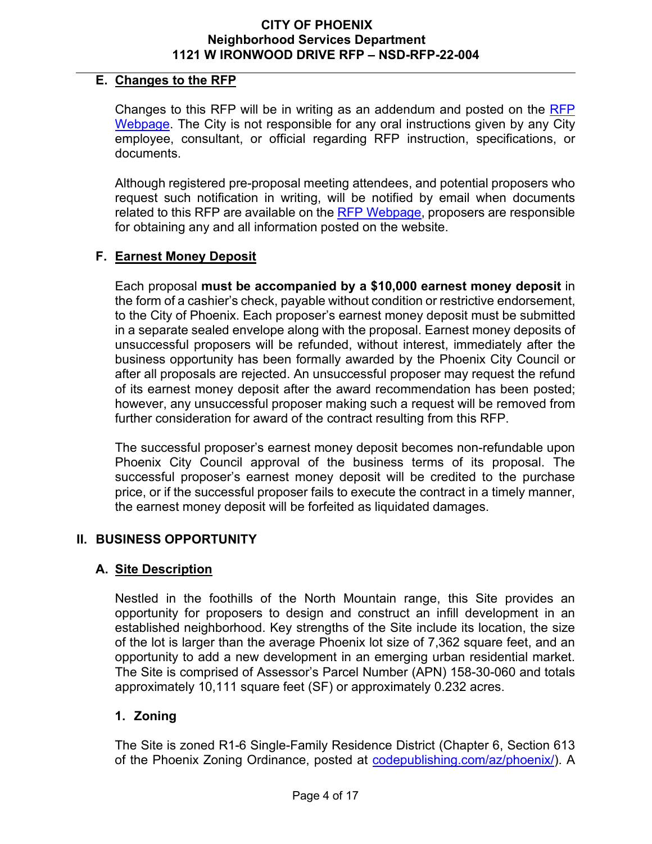## <span id="page-3-0"></span>**E. Changes to the RFP**

Changes to this RFP will be in writing as an addendum and posted on the [RFP](https://solicitations.phoenix.gov/)  [Webpage.](https://solicitations.phoenix.gov/) The City is not responsible for any oral instructions given by any City employee, consultant, or official regarding RFP instruction, specifications, or documents.

Although registered pre-proposal meeting attendees, and potential proposers who request such notification in writing, will be notified by email when documents related to this RFP are available on the [RFP Webpage,](https://solicitations.phoenix.gov/) proposers are responsible for obtaining any and all information posted on the website.

# **F. Earnest Money Deposit**

Each proposal **must be accompanied by a \$10,000 earnest money deposit** in the form of a cashier's check, payable without condition or restrictive endorsement, to the City of Phoenix. Each proposer's earnest money deposit must be submitted in a separate sealed envelope along with the proposal. Earnest money deposits of unsuccessful proposers will be refunded, without interest, immediately after the business opportunity has been formally awarded by the Phoenix City Council or after all proposals are rejected. An unsuccessful proposer may request the refund of its earnest money deposit after the award recommendation has been posted; however, any unsuccessful proposer making such a request will be removed from further consideration for award of the contract resulting from this RFP.

The successful proposer's earnest money deposit becomes non-refundable upon Phoenix City Council approval of the business terms of its proposal. The successful proposer's earnest money deposit will be credited to the purchase price, or if the successful proposer fails to execute the contract in a timely manner, the earnest money deposit will be forfeited as liquidated damages.

# <span id="page-3-2"></span><span id="page-3-1"></span>**II. BUSINESS OPPORTUNITY**

# **A. Site Description**

Nestled in the foothills of the North Mountain range, this Site provides an opportunity for proposers to design and construct an infill development in an established neighborhood. Key strengths of the Site include its location, the size of the lot is larger than the average Phoenix lot size of 7,362 square feet, and an opportunity to add a new development in an emerging urban residential market. The Site is comprised of Assessor's Parcel Number (APN) 158-30-060 and totals approximately 10,111 square feet (SF) or approximately 0.232 acres.

# **1. Zoning**

The Site is zoned R1-6 Single-Family Residence District (Chapter 6, Section 613 of the Phoenix Zoning Ordinance, posted at [codepublishing.com/az/phoenix/\)](http://www.codepublishing.com/az/phoenix/). A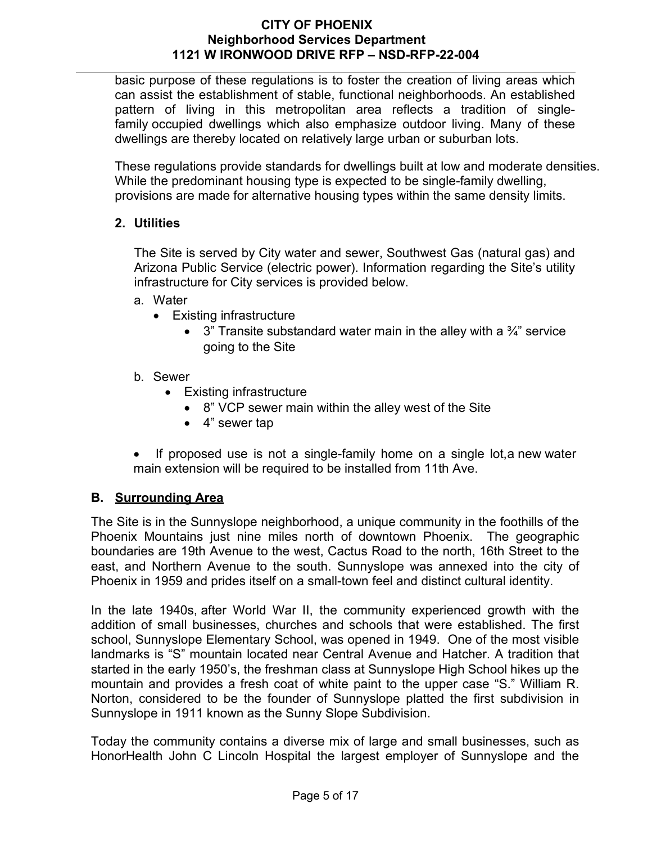basic purpose of these regulations is to foster the creation of living areas which can assist the establishment of stable, functional neighborhoods. An established pattern of living in this metropolitan area reflects a tradition of single[family](https://phoenix.municipal.codes/ZO/202__987a34b1fdbc92331b4b96a80e3d7f87) occupied dwellings which also emphasize outdoor living. Many of these dwellings are thereby located on relatively large urban or suburban [lots.](https://phoenix.municipal.codes/ZO/202__8355eb8f67eeb6b85343238f8a3fb383)

These regulations provide standards for dwellings built at low and moderate [densities.](https://phoenix.municipal.codes/ZO/202__8a7f2c2fc38748c29a20113acbf13646) While the predominant housing type is expected to be single[-family](https://phoenix.municipal.codes/ZO/202__987a34b1fdbc92331b4b96a80e3d7f87) dwelling, provisions are made for alternative housing types within the same [density](https://phoenix.municipal.codes/ZO/202__8a7f2c2fc38748c29a20113acbf13646) limits.

# **2. Utilities**

The Site is served by City water and sewer, Southwest Gas (natural gas) and Arizona Public Service (electric power). Information regarding the Site's utility infrastructure for City services is provided below.

- a. Water
	- Existing infrastructure
		- 3" Transite substandard water main in the alley with a  $\frac{3}{4}$ " service going to the Site
- b. Sewer
	- Existing infrastructure
		- 8" VCP sewer main within the alley west of the Site
		- 4" sewer tap
- If proposed use is not a single-family home on a single lot, a new water main extension will be required to be installed from 11th Ave.

# <span id="page-4-0"></span>**B. Surrounding Area**

The Site is in the Sunnyslope neighborhood, a unique community in the foothills of the Phoenix Mountains just nine miles north of downtown Phoenix. The geographic boundaries are 19th Avenue to the west, Cactus Road to the north, 16th Street to the east, and Northern Avenue to the south. Sunnyslope was annexed into the city of Phoenix in 1959 and prides itself on a small-town feel and distinct cultural identity.

In the late 1940s, after World War II, the community experienced growth with the addition of small businesses, churches and schools that were established. The first school, Sunnyslope Elementary School, was opened in 1949. One of the most visible landmarks is "S" mountain located near Central Avenue and Hatcher. A tradition that started in the early 1950's, the freshman class at Sunnyslope High School hikes up the mountain and provides a fresh coat of white paint to the upper case "S." William R. Norton, considered to be the founder of Sunnyslope platted the first subdivision in Sunnyslope in 1911 known as the Sunny Slope Subdivision.

Today the community contains a diverse mix of large and small businesses, such as HonorHealth John C Lincoln Hospital the largest employer of Sunnyslope and the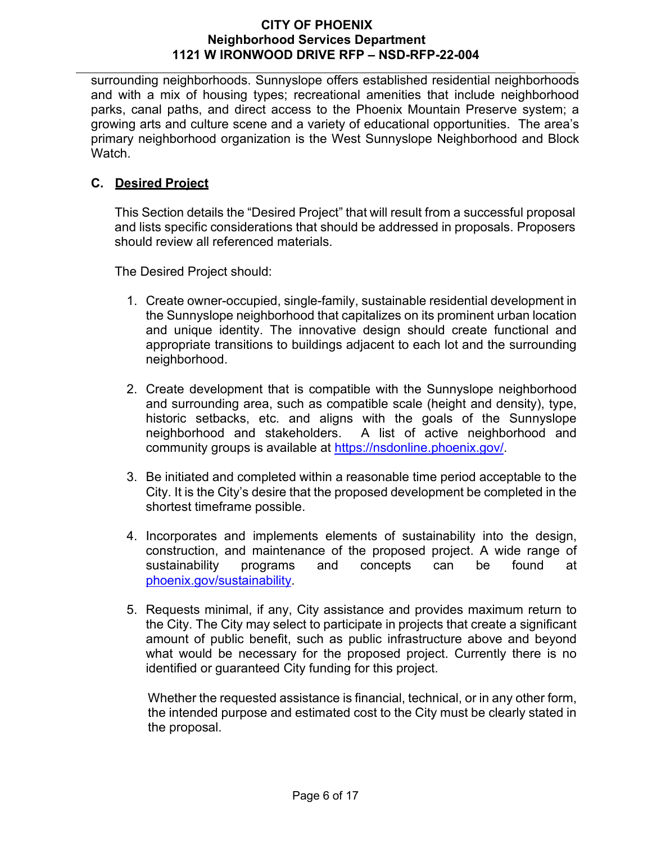surrounding neighborhoods. Sunnyslope offers established residential neighborhoods and with a mix of housing types; recreational amenities that include neighborhood parks, canal paths, and direct access to the Phoenix Mountain Preserve system; a growing arts and culture scene and a variety of educational opportunities. The area's primary neighborhood organization is the West Sunnyslope Neighborhood and Block Watch.

# <span id="page-5-0"></span>**C. Desired Project**

This Section details the "Desired Project" that will result from a successful proposal and lists specific considerations that should be addressed in proposals. Proposers should review all referenced materials.

The Desired Project should:

- 1. Create owner-occupied, single-family, sustainable residential development in the Sunnyslope neighborhood that capitalizes on its prominent urban location and unique identity. The innovative design should create functional and appropriate transitions to buildings adjacent to each lot and the surrounding neighborhood.
- 2. Create development that is compatible with the Sunnyslope neighborhood and surrounding area, such as compatible scale (height and density), type, historic setbacks, etc. and aligns with the goals of the Sunnyslope neighborhood and stakeholders. A list of active neighborhood and community groups is available at [https://nsdonline.phoenix.gov/.](https://nsdonline.phoenix.gov/)
- 3. Be initiated and completed within a reasonable time period acceptable to the City. It is the City's desire that the proposed development be completed in the shortest timeframe possible.
- 4. Incorporates and implements elements of sustainability into the design, construction, and maintenance of the proposed project. A wide range of sustainability programs and concepts can be found at [phoenix.gov/sustainability.](http://www.phoenix.gov/sustainability)
- 5. Requests minimal, if any, City assistance and provides maximum return to the City. The City may select to participate in projects that create a significant amount of public benefit, such as public infrastructure above and beyond what would be necessary for the proposed project. Currently there is no identified or guaranteed City funding for this project.

 Whether the requested assistance is financial, technical, or in any other form, the intended purpose and estimated cost to the City must be clearly stated in the proposal.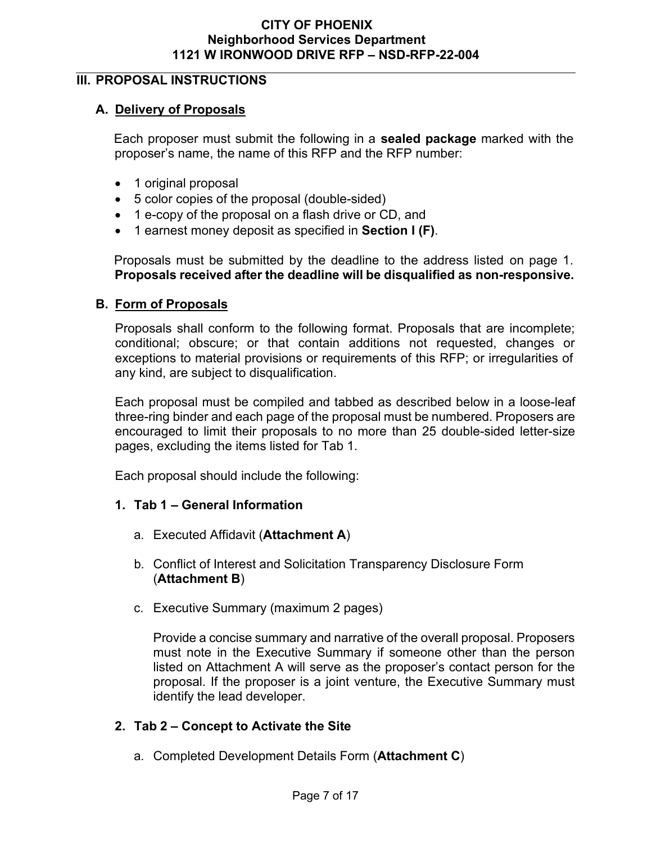# <span id="page-6-1"></span><span id="page-6-0"></span>**III. PROPOSAL INSTRUCTIONS**

# **A. Delivery of Proposals**

Each proposer must submit the following in a **sealed package** marked with the proposer's name, the name of this RFP and the RFP number:

- 1 original proposal
- 5 color copies of the proposal (double-sided)
- 1 e-copy of the proposal on a flash drive or CD, and
- 1 earnest money deposit as specified in **Section I (F)**.

Proposals must be submitted by the deadline to the address listed on page 1. **Proposals received after the deadline will be disqualified as non-responsive.**

# <span id="page-6-2"></span>**B. Form of Proposals**

Proposals shall conform to the following format. Proposals that are incomplete; conditional; obscure; or that contain additions not requested, changes or exceptions to material provisions or requirements of this RFP; or irregularities of any kind, are subject to disqualification.

Each proposal must be compiled and tabbed as described below in a loose-leaf three-ring binder and each page of the proposal must be numbered. Proposers are encouraged to limit their proposals to no more than 25 double-sided letter-size pages, excluding the items listed for Tab 1.

Each proposal should include the following:

- **1. Tab 1 General Information**
	- a. Executed Affidavit (**Attachment A**)
	- b. Conflict of Interest and Solicitation Transparency Disclosure Form (**Attachment B**)
	- c. Executive Summary (maximum 2 pages)

Provide a concise summary and narrative of the overall proposal. Proposers must note in the Executive Summary if someone other than the person listed on Attachment A will serve as the proposer's contact person for the proposal. If the proposer is a joint venture, the Executive Summary must identify the lead developer.

# **2. Tab 2 – Concept to Activate the Site**

a. Completed Development Details Form (**Attachment C**)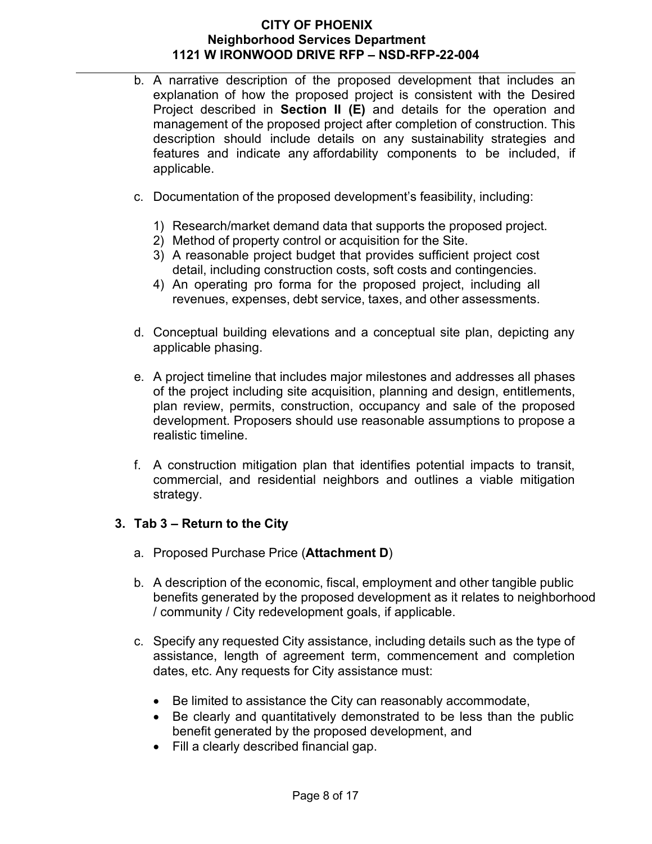- b. A narrative description of the proposed development that includes an explanation of how the proposed project is consistent with the Desired Project described in **Section II (E)** and details for the operation and management of the proposed project after completion of construction. This description should include details on any sustainability strategies and features and indicate any affordability components to be included, if applicable.
- c. Documentation of the proposed development's feasibility, including:
	- 1) Research/market demand data that supports the proposed project.
	- 2) Method of property control or acquisition for the Site.
	- 3) A reasonable project budget that provides sufficient project cost detail, including construction costs, soft costs and contingencies.
	- 4) An operating pro forma for the proposed project, including all revenues, expenses, debt service, taxes, and other assessments.
- d. Conceptual building elevations and a conceptual site plan, depicting any applicable phasing.
- e. A project timeline that includes major milestones and addresses all phases of the project including site acquisition, planning and design, entitlements, plan review, permits, construction, occupancy and sale of the proposed development. Proposers should use reasonable assumptions to propose a realistic timeline.
- f. A construction mitigation plan that identifies potential impacts to transit, commercial, and residential neighbors and outlines a viable mitigation strategy.

# **3. Tab 3 – Return to the City**

- a. Proposed Purchase Price (**Attachment D**)
- b. A description of the economic, fiscal, employment and other tangible public benefits generated by the proposed development as it relates to neighborhood / community / City redevelopment goals, if applicable.
- c. Specify any requested City assistance, including details such as the type of assistance, length of agreement term, commencement and completion dates, etc. Any requests for City assistance must:
	- Be limited to assistance the City can reasonably accommodate,
	- Be clearly and quantitatively demonstrated to be less than the public benefit generated by the proposed development, and
	- Fill a clearly described financial gap.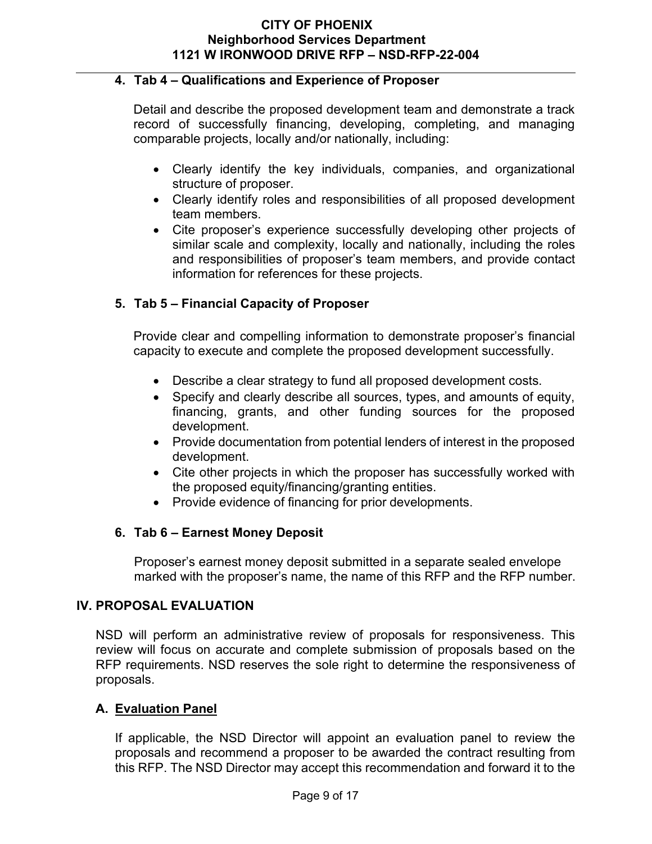#### **4. Tab 4 – Qualifications and Experience of Proposer**

Detail and describe the proposed development team and demonstrate a track record of successfully financing, developing, completing, and managing comparable projects, locally and/or nationally, including:

- Clearly identify the key individuals, companies, and organizational structure of proposer.
- Clearly identify roles and responsibilities of all proposed development team members.
- Cite proposer's experience successfully developing other projects of similar scale and complexity, locally and nationally, including the roles and responsibilities of proposer's team members, and provide contact information for references for these projects.

# **5. Tab 5 – Financial Capacity of Proposer**

Provide clear and compelling information to demonstrate proposer's financial capacity to execute and complete the proposed development successfully.

- Describe a clear strategy to fund all proposed development costs.
- Specify and clearly describe all sources, types, and amounts of equity, financing, grants, and other funding sources for the proposed development.
- Provide documentation from potential lenders of interest in the proposed development.
- Cite other projects in which the proposer has successfully worked with the proposed equity/financing/granting entities.
- Provide evidence of financing for prior developments.

# **6. Tab 6 – Earnest Money Deposit**

Proposer's earnest money deposit submitted in a separate sealed envelope marked with the proposer's name, the name of this RFP and the RFP number.

# <span id="page-8-0"></span>**IV. PROPOSAL EVALUATION**

NSD will perform an administrative review of proposals for responsiveness. This review will focus on accurate and complete submission of proposals based on the RFP requirements. NSD reserves the sole right to determine the responsiveness of proposals.

# <span id="page-8-1"></span>**A. Evaluation Panel**

If applicable, the NSD Director will appoint an evaluation panel to review the proposals and recommend a proposer to be awarded the contract resulting from this RFP. The NSD Director may accept this recommendation and forward it to the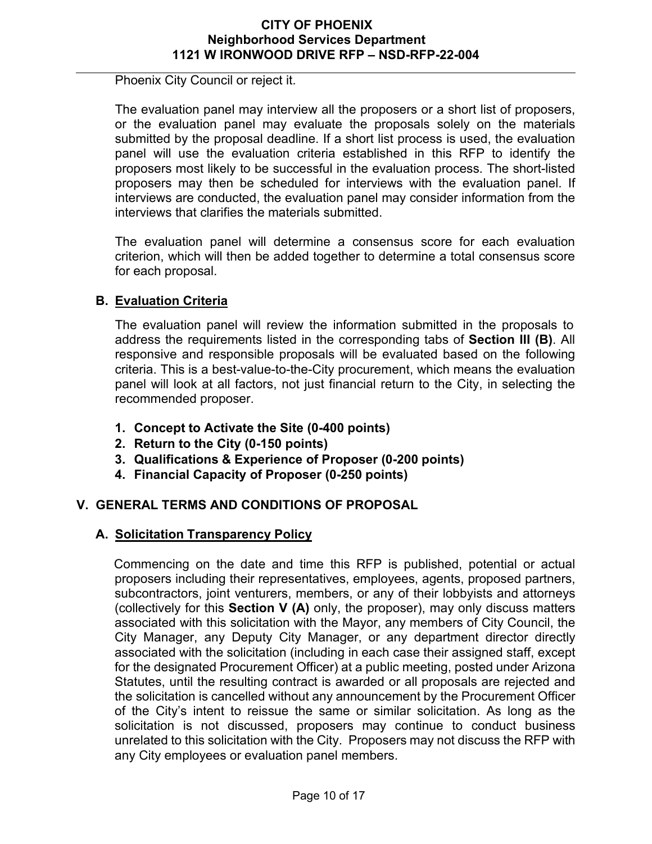Phoenix City Council or reject it.

The evaluation panel may interview all the proposers or a short list of proposers, or the evaluation panel may evaluate the proposals solely on the materials submitted by the proposal deadline. If a short list process is used, the evaluation panel will use the evaluation criteria established in this RFP to identify the proposers most likely to be successful in the evaluation process. The short-listed proposers may then be scheduled for interviews with the evaluation panel. If interviews are conducted, the evaluation panel may consider information from the interviews that clarifies the materials submitted.

The evaluation panel will determine a consensus score for each evaluation criterion, which will then be added together to determine a total consensus score for each proposal.

# <span id="page-9-0"></span>**B. Evaluation Criteria**

The evaluation panel will review the information submitted in the proposals to address the requirements listed in the corresponding tabs of **Section III (B)**. All responsive and responsible proposals will be evaluated based on the following criteria. This is a best-value-to-the-City procurement, which means the evaluation panel will look at all factors, not just financial return to the City, in selecting the recommended proposer.

- **1. Concept to Activate the Site (0-400 points)**
- **2. Return to the City (0-150 points)**
- **3. Qualifications & Experience of Proposer (0-200 points)**
- **4. Financial Capacity of Proposer (0-250 points)**

# <span id="page-9-1"></span>**V. GENERAL TERMS AND CONDITIONS OF PROPOSAL**

# **A. Solicitation Transparency Policy**

Commencing on the date and time this RFP is published, potential or actual proposers including their representatives, employees, agents, proposed partners, subcontractors, joint venturers, members, or any of their lobbyists and attorneys (collectively for this **Section V (A)** only, the proposer), may only discuss matters associated with this solicitation with the Mayor, any members of City Council, the City Manager, any Deputy City Manager, or any department director directly associated with the solicitation (including in each case their assigned staff, except for the designated Procurement Officer) at a public meeting, posted under Arizona Statutes, until the resulting contract is awarded or all proposals are rejected and the solicitation is cancelled without any announcement by the Procurement Officer of the City's intent to reissue the same or similar solicitation. As long as the solicitation is not discussed, proposers may continue to conduct business unrelated to this solicitation with the City. Proposers may not discuss the RFP with any City employees or evaluation panel members.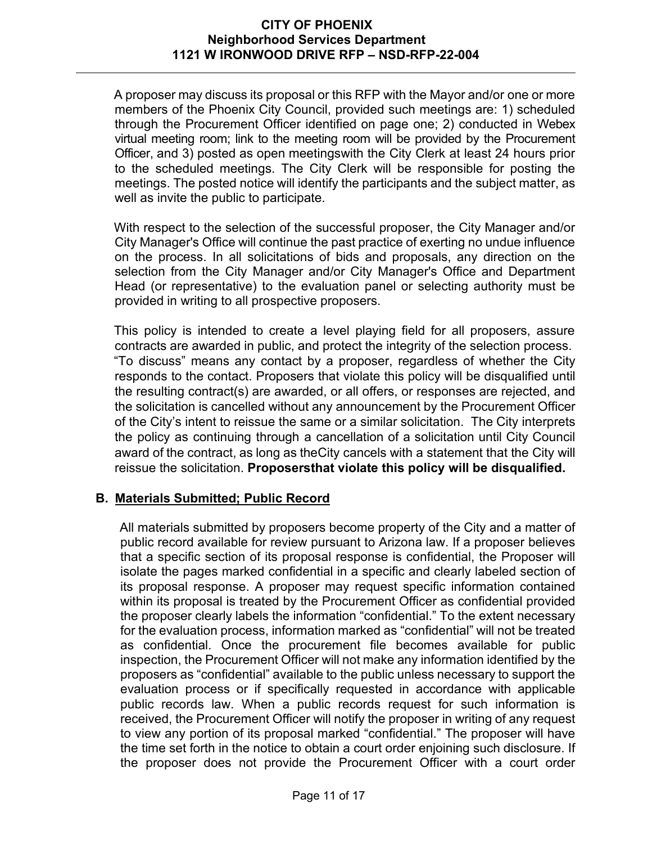A proposer may discuss its proposal or this RFP with the Mayor and/or one or more members of the Phoenix City Council, provided such meetings are: 1) scheduled through the Procurement Officer identified on page one; 2) conducted in Webex virtual meeting room; link to the meeting room will be provided by the Procurement Officer, and 3) posted as open meetingswith the City Clerk at least 24 hours prior to the scheduled meetings. The City Clerk will be responsible for posting the meetings. The posted notice will identify the participants and the subject matter, as well as invite the public to participate.

With respect to the selection of the successful proposer, the City Manager and/or City Manager's Office will continue the past practice of exerting no undue influence on the process. In all solicitations of bids and proposals, any direction on the selection from the City Manager and/or City Manager's Office and Department Head (or representative) to the evaluation panel or selecting authority must be provided in writing to all prospective proposers.

This policy is intended to create a level playing field for all proposers, assure contracts are awarded in public, and protect the integrity of the selection process. "To discuss" means any contact by a proposer, regardless of whether the City responds to the contact. Proposers that violate this policy will be disqualified until the resulting contract(s) are awarded, or all offers, or responses are rejected, and the solicitation is cancelled without any announcement by the Procurement Officer of the City's intent to reissue the same or a similar solicitation. The City interprets the policy as continuing through a cancellation of a solicitation until City Council award of the contract, as long as theCity cancels with a statement that the City will reissue the solicitation. **Proposersthat violate this policy will be disqualified.**

# <span id="page-10-0"></span>**B. Materials Submitted; Public Record**

All materials submitted by proposers become property of the City and a matter of public record available for review pursuant to Arizona law. If a proposer believes that a specific section of its proposal response is confidential, the Proposer will isolate the pages marked confidential in a specific and clearly labeled section of its proposal response. A proposer may request specific information contained within its proposal is treated by the Procurement Officer as confidential provided the proposer clearly labels the information "confidential." To the extent necessary for the evaluation process, information marked as "confidential" will not be treated as confidential. Once the procurement file becomes available for public inspection, the Procurement Officer will not make any information identified by the proposers as "confidential" available to the public unless necessary to support the evaluation process or if specifically requested in accordance with applicable public records law. When a public records request for such information is received, the Procurement Officer will notify the proposer in writing of any request to view any portion of its proposal marked "confidential." The proposer will have the time set forth in the notice to obtain a court order enjoining such disclosure. If the proposer does not provide the Procurement Officer with a court order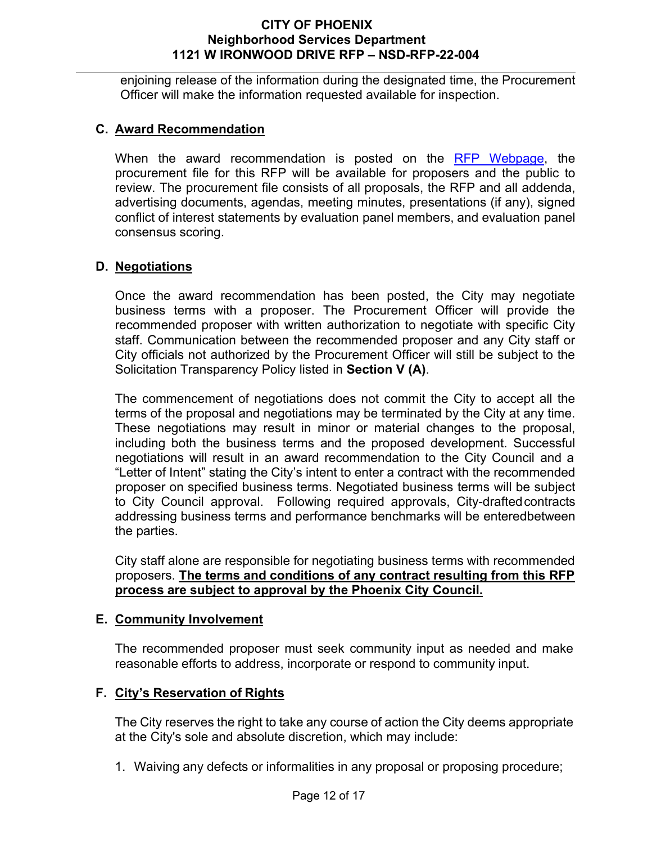enjoining release of the information during the designated time, the Procurement Officer will make the information requested available for inspection.

# <span id="page-11-0"></span>**C. Award Recommendation**

When the award recommendation is posted on the [RFP Webpage,](https://solicitations.phoenix.gov/) the procurement file for this RFP will be available for proposers and the public to review. The procurement file consists of all proposals, the RFP and all addenda, advertising documents, agendas, meeting minutes, presentations (if any), signed conflict of interest statements by evaluation panel members, and evaluation panel consensus scoring.

# <span id="page-11-1"></span>**D. Negotiations**

Once the award recommendation has been posted, the City may negotiate business terms with a proposer. The Procurement Officer will provide the recommended proposer with written authorization to negotiate with specific City staff. Communication between the recommended proposer and any City staff or City officials not authorized by the Procurement Officer will still be subject to the Solicitation Transparency Policy listed in **Section V (A)**.

The commencement of negotiations does not commit the City to accept all the terms of the proposal and negotiations may be terminated by the City at any time. These negotiations may result in minor or material changes to the proposal, including both the business terms and the proposed development. Successful negotiations will result in an award recommendation to the City Council and a "Letter of Intent" stating the City's intent to enter a contract with the recommended proposer on specified business terms. Negotiated business terms will be subject to City Council approval. Following required approvals, City-draftedcontracts addressing business terms and performance benchmarks will be enteredbetween the parties.

City staff alone are responsible for negotiating business terms with recommended proposers. **The terms and conditions of any contract resulting from this RFP process are subject to approval by the Phoenix City Council.**

#### <span id="page-11-2"></span>**E. Community Involvement**

The recommended proposer must seek community input as needed and make reasonable efforts to address, incorporate or respond to community input.

# <span id="page-11-3"></span>**F. City's Reservation of Rights**

The City reserves the right to take any course of action the City deems appropriate at the City's sole and absolute discretion, which may include:

1. Waiving any defects or informalities in any proposal or proposing procedure;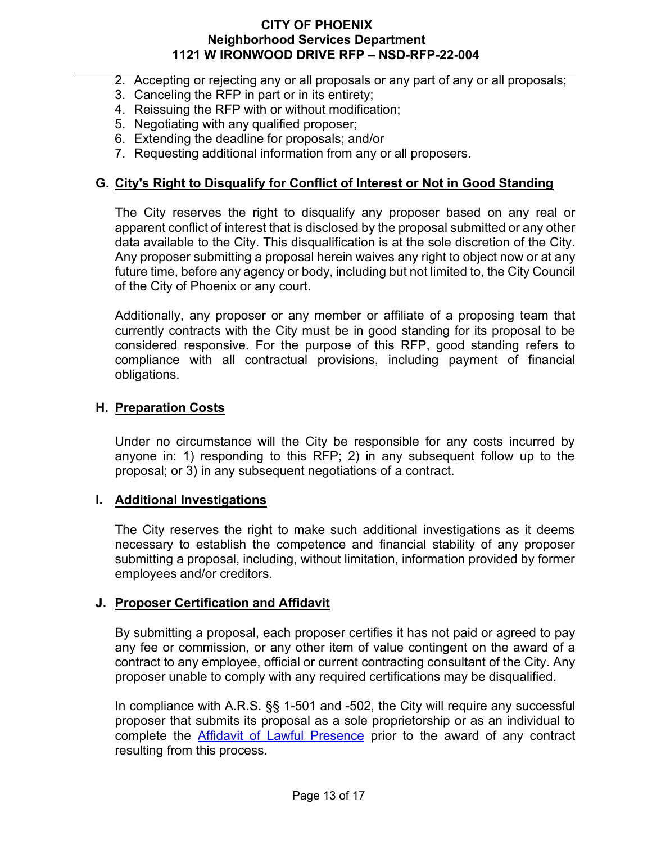- 2. Accepting or rejecting any or all proposals or any part of any or all proposals;
- 3. Canceling the RFP in part or in its entirety;
- 4. Reissuing the RFP with or without modification;
- 5. Negotiating with any qualified proposer;
- 6. Extending the deadline for proposals; and/or
- 7. Requesting additional information from any or all proposers.

# <span id="page-12-0"></span>**G. City's Right to Disqualify for Conflict of Interest or Not in Good Standing**

The City reserves the right to disqualify any proposer based on any real or apparent conflict of interest that is disclosed by the proposal submitted or any other data available to the City. This disqualification is at the sole discretion of the City. Any proposer submitting a proposal herein waives any right to object now or at any future time, before any agency or body, including but not limited to, the City Council of the City of Phoenix or any court.

Additionally, any proposer or any member or affiliate of a proposing team that currently contracts with the City must be in good standing for its proposal to be considered responsive. For the purpose of this RFP, good standing refers to compliance with all contractual provisions, including payment of financial obligations.

# <span id="page-12-1"></span>**H. Preparation Costs**

Under no circumstance will the City be responsible for any costs incurred by anyone in: 1) responding to this RFP; 2) in any subsequent follow up to the proposal; or 3) in any subsequent negotiations of a contract.

# <span id="page-12-2"></span>**I. Additional Investigations**

The City reserves the right to make such additional investigations as it deems necessary to establish the competence and financial stability of any proposer submitting a proposal, including, without limitation, information provided by former employees and/or creditors.

# <span id="page-12-3"></span>**J. Proposer Certification and Affidavit**

By submitting a proposal, each proposer certifies it has not paid or agreed to pay any fee or commission, or any other item of value contingent on the award of a contract to any employee, official or current contracting consultant of the City. Any proposer unable to comply with any required certifications may be disqualified.

In compliance with A.R.S. §§ 1-501 and -502, the City will require any successful proposer that submits its proposal as a sole proprietorship or as an individual to complete the [Affidavit of Lawful Presence](https://www.phoenix.gov/educationsite/Documents/LawfulPresenceForm.pdf) prior to the award of any contract resulting from this process.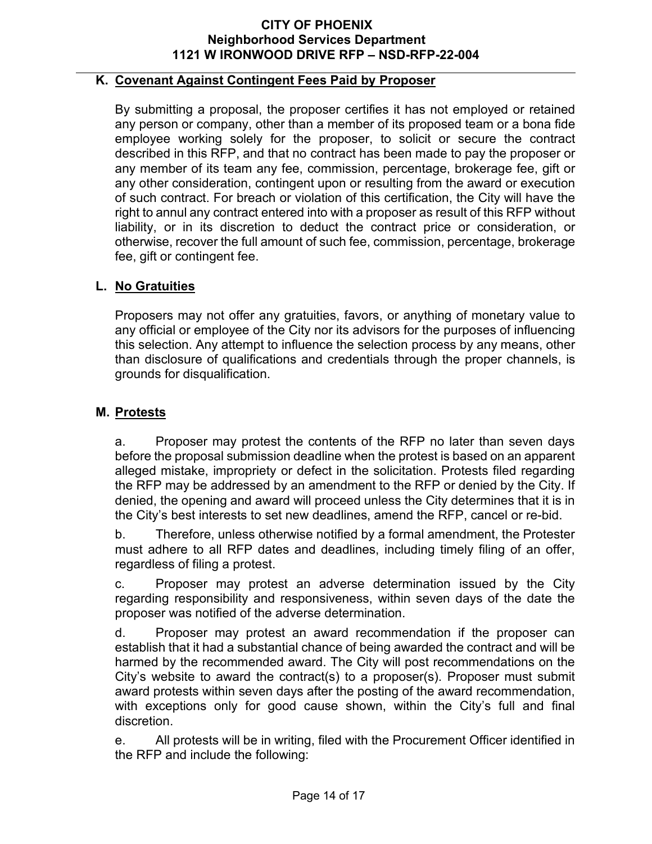# <span id="page-13-0"></span>**K. Covenant Against Contingent Fees Paid by Proposer**

By submitting a proposal, the proposer certifies it has not employed or retained any person or company, other than a member of its proposed team or a bona fide employee working solely for the proposer, to solicit or secure the contract described in this RFP, and that no contract has been made to pay the proposer or any member of its team any fee, commission, percentage, brokerage fee, gift or any other consideration, contingent upon or resulting from the award or execution of such contract. For breach or violation of this certification, the City will have the right to annul any contract entered into with a proposer as result of this RFP without liability, or in its discretion to deduct the contract price or consideration, or otherwise, recover the full amount of such fee, commission, percentage, brokerage fee, gift or contingent fee.

#### <span id="page-13-1"></span>**L. No Gratuities**

Proposers may not offer any gratuities, favors, or anything of monetary value to any official or employee of the City nor its advisors for the purposes of influencing this selection. Any attempt to influence the selection process by any means, other than disclosure of qualifications and credentials through the proper channels, is grounds for disqualification.

#### <span id="page-13-2"></span>**M. Protests**

a. Proposer may protest the contents of the RFP no later than seven days before the proposal submission deadline when the protest is based on an apparent alleged mistake, impropriety or defect in the solicitation. Protests filed regarding the RFP may be addressed by an amendment to the RFP or denied by the City. If denied, the opening and award will proceed unless the City determines that it is in the City's best interests to set new deadlines, amend the RFP, cancel or re-bid.

b. Therefore, unless otherwise notified by a formal amendment, the Protester must adhere to all RFP dates and deadlines, including timely filing of an offer, regardless of filing a protest.

c. Proposer may protest an adverse determination issued by the City regarding responsibility and responsiveness, within seven days of the date the proposer was notified of the adverse determination.

d. Proposer may protest an award recommendation if the proposer can establish that it had a substantial chance of being awarded the contract and will be harmed by the recommended award. The City will post recommendations on the City's website to award the contract(s) to a proposer(s). Proposer must submit award protests within seven days after the posting of the award recommendation, with exceptions only for good cause shown, within the City's full and final discretion.

e. All protests will be in writing, filed with the Procurement Officer identified in the RFP and include the following: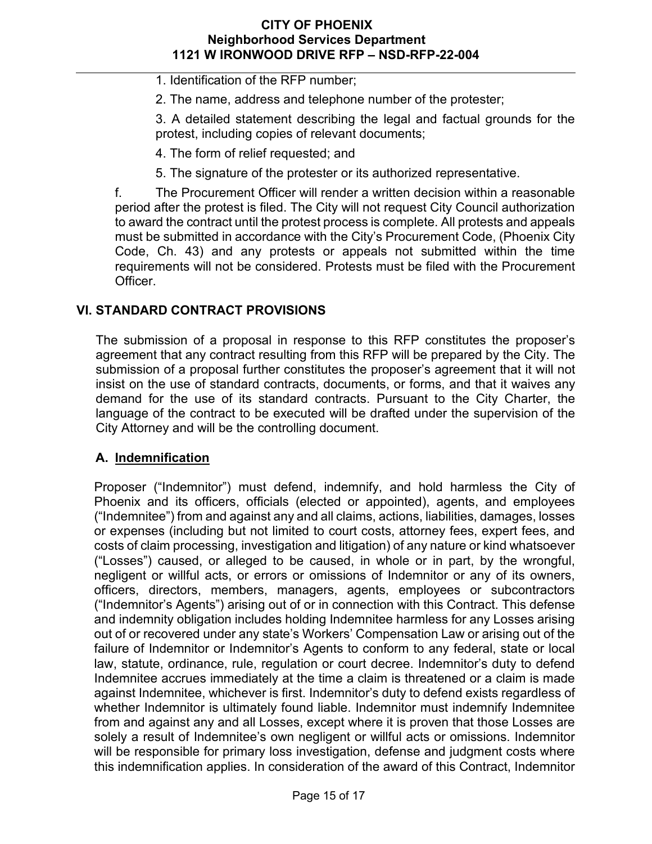1. Identification of the RFP number;

2. The name, address and telephone number of the protester;

3. A detailed statement describing the legal and factual grounds for the protest, including copies of relevant documents;

- 4. The form of relief requested; and
- 5. The signature of the protester or its authorized representative.

f. The Procurement Officer will render a written decision within a reasonable period after the protest is filed. The City will not request City Council authorization to award the contract until the protest process is complete. All protests and appeals must be submitted in accordance with the City's Procurement Code, (Phoenix City Code, Ch. 43) and any protests or appeals not submitted within the time requirements will not be considered. Protests must be filed with the Procurement Officer.

# <span id="page-14-0"></span>**VI. STANDARD CONTRACT PROVISIONS**

The submission of a proposal in response to this RFP constitutes the proposer's agreement that any contract resulting from this RFP will be prepared by the City. The submission of a proposal further constitutes the proposer's agreement that it will not insist on the use of standard contracts, documents, or forms, and that it waives any demand for the use of its standard contracts. Pursuant to the City Charter, the language of the contract to be executed will be drafted under the supervision of the City Attorney and will be the controlling document.

# <span id="page-14-1"></span>**A. Indemnification**

Proposer ("Indemnitor") must defend, indemnify, and hold harmless the City of Phoenix and its officers, officials (elected or appointed), agents, and employees ("Indemnitee") from and against any and all claims, actions, liabilities, damages, losses or expenses (including but not limited to court costs, attorney fees, expert fees, and costs of claim processing, investigation and litigation) of any nature or kind whatsoever ("Losses") caused, or alleged to be caused, in whole or in part, by the wrongful, negligent or willful acts, or errors or omissions of Indemnitor or any of its owners, officers, directors, members, managers, agents, employees or subcontractors ("Indemnitor's Agents") arising out of or in connection with this Contract. This defense and indemnity obligation includes holding Indemnitee harmless for any Losses arising out of or recovered under any state's Workers' Compensation Law or arising out of the failure of Indemnitor or Indemnitor's Agents to conform to any federal, state or local law, statute, ordinance, rule, regulation or court decree. Indemnitor's duty to defend Indemnitee accrues immediately at the time a claim is threatened or a claim is made against Indemnitee, whichever is first. Indemnitor's duty to defend exists regardless of whether Indemnitor is ultimately found liable. Indemnitor must indemnify Indemnitee from and against any and all Losses, except where it is proven that those Losses are solely a result of Indemnitee's own negligent or willful acts or omissions. Indemnitor will be responsible for primary loss investigation, defense and judgment costs where this indemnification applies. In consideration of the award of this Contract, Indemnitor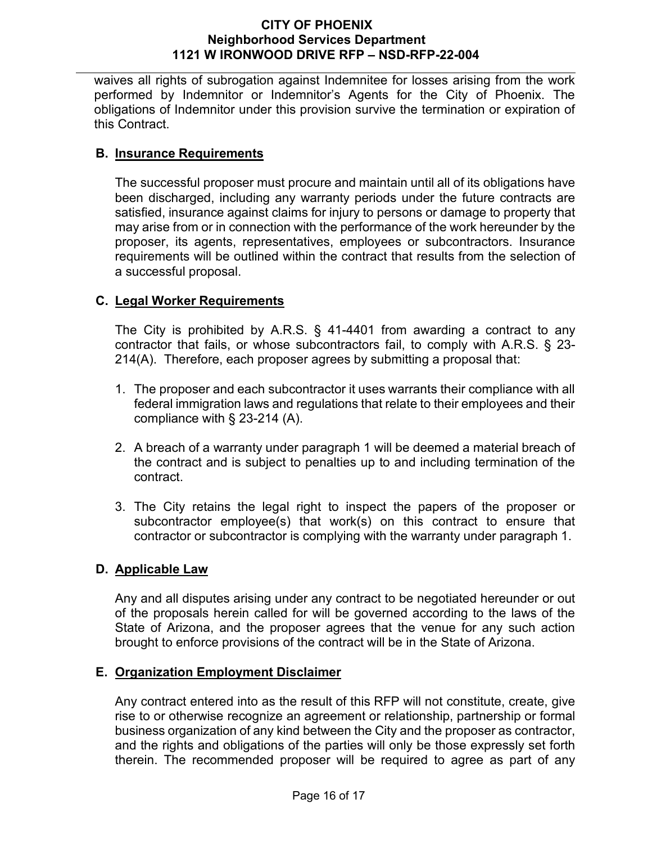waives all rights of subrogation against Indemnitee for losses arising from the work performed by Indemnitor or Indemnitor's Agents for the City of Phoenix. The obligations of Indemnitor under this provision survive the termination or expiration of this Contract.

# <span id="page-15-0"></span>**B. Insurance Requirements**

The successful proposer must procure and maintain until all of its obligations have been discharged, including any warranty periods under the future contracts are satisfied, insurance against claims for injury to persons or damage to property that may arise from or in connection with the performance of the work hereunder by the proposer, its agents, representatives, employees or subcontractors. Insurance requirements will be outlined within the contract that results from the selection of a successful proposal.

# <span id="page-15-1"></span>**C. Legal Worker Requirements**

The City is prohibited by A.R.S. § 41-4401 from awarding a contract to any contractor that fails, or whose subcontractors fail, to comply with A.R.S. § 23- 214(A). Therefore, each proposer agrees by submitting a proposal that:

- 1. The proposer and each subcontractor it uses warrants their compliance with all federal immigration laws and regulations that relate to their employees and their compliance with § 23-214 (A).
- 2. A breach of a warranty under paragraph 1 will be deemed a material breach of the contract and is subject to penalties up to and including termination of the contract.
- 3. The City retains the legal right to inspect the papers of the proposer or subcontractor employee(s) that work(s) on this contract to ensure that contractor or subcontractor is complying with the warranty under paragraph 1.

# <span id="page-15-2"></span>**D. Applicable Law**

Any and all disputes arising under any contract to be negotiated hereunder or out of the proposals herein called for will be governed according to the laws of the State of Arizona, and the proposer agrees that the venue for any such action brought to enforce provisions of the contract will be in the State of Arizona.

# <span id="page-15-3"></span>**E. Organization Employment Disclaimer**

Any contract entered into as the result of this RFP will not constitute, create, give rise to or otherwise recognize an agreement or relationship, partnership or formal business organization of any kind between the City and the proposer as contractor, and the rights and obligations of the parties will only be those expressly set forth therein. The recommended proposer will be required to agree as part of any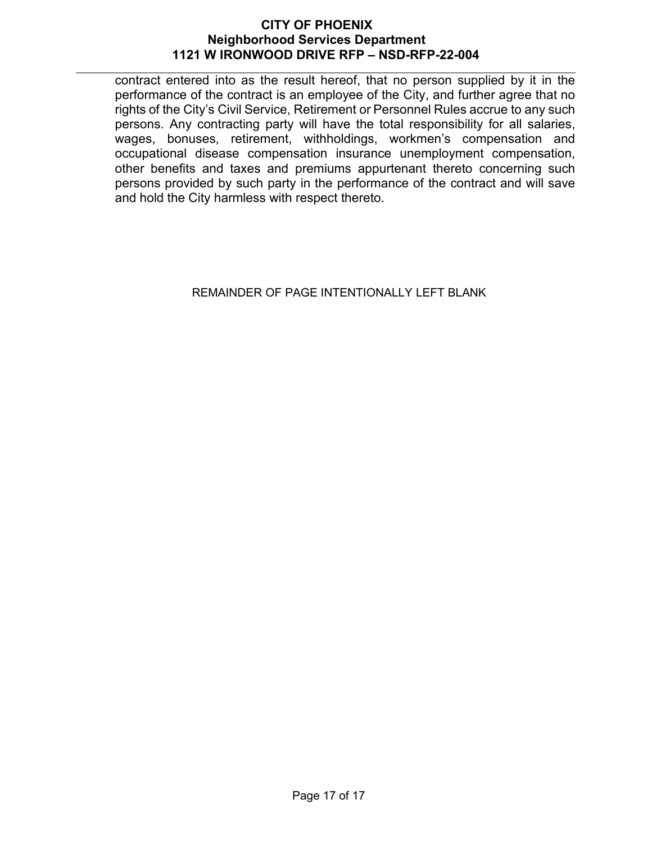contract entered into as the result hereof, that no person supplied by it in the performance of the contract is an employee of the City, and further agree that no rights of the City's Civil Service, Retirement or Personnel Rules accrue to any such persons. Any contracting party will have the total responsibility for all salaries, wages, bonuses, retirement, withholdings, workmen's compensation and occupational disease compensation insurance unemployment compensation, other benefits and taxes and premiums appurtenant thereto concerning such persons provided by such party in the performance of the contract and will save and hold the City harmless with respect thereto.

# REMAINDER OF PAGE INTENTIONALLY LEFT BLANK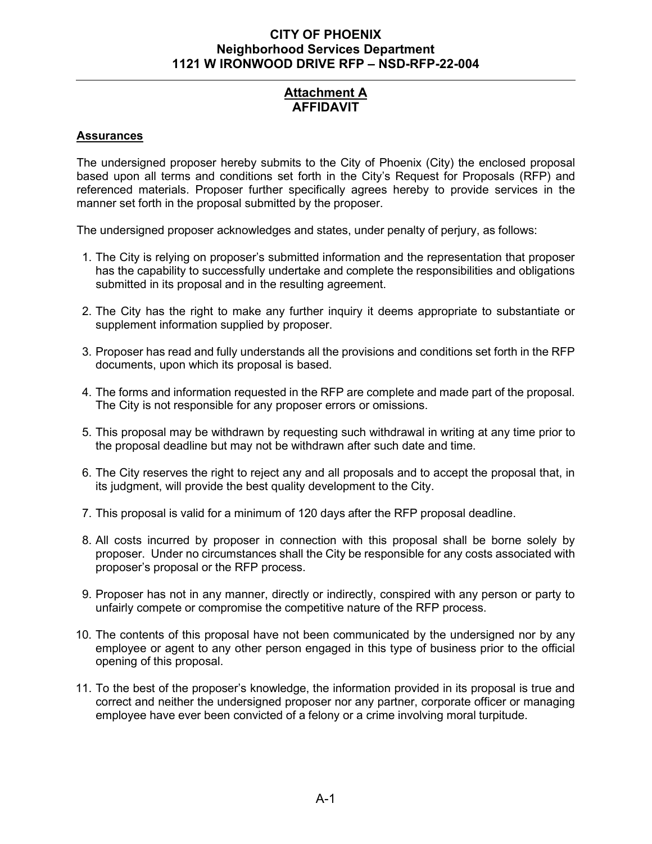# **Attachment A AFFIDAVIT**

#### **Assurances**

The undersigned proposer hereby submits to the City of Phoenix (City) the enclosed proposal based upon all terms and conditions set forth in the City's Request for Proposals (RFP) and referenced materials. Proposer further specifically agrees hereby to provide services in the manner set forth in the proposal submitted by the proposer.

The undersigned proposer acknowledges and states, under penalty of perjury, as follows:

- 1. The City is relying on proposer's submitted information and the representation that proposer has the capability to successfully undertake and complete the responsibilities and obligations submitted in its proposal and in the resulting agreement.
- 2. The City has the right to make any further inquiry it deems appropriate to substantiate or supplement information supplied by proposer.
- 3. Proposer has read and fully understands all the provisions and conditions set forth in the RFP documents, upon which its proposal is based.
- 4. The forms and information requested in the RFP are complete and made part of the proposal. The City is not responsible for any proposer errors or omissions.
- 5. This proposal may be withdrawn by requesting such withdrawal in writing at any time prior to the proposal deadline but may not be withdrawn after such date and time.
- 6. The City reserves the right to reject any and all proposals and to accept the proposal that, in its judgment, will provide the best quality development to the City.
- 7. This proposal is valid for a minimum of 120 days after the RFP proposal deadline.
- 8. All costs incurred by proposer in connection with this proposal shall be borne solely by proposer. Under no circumstances shall the City be responsible for any costs associated with proposer's proposal or the RFP process.
- 9. Proposer has not in any manner, directly or indirectly, conspired with any person or party to unfairly compete or compromise the competitive nature of the RFP process.
- 10. The contents of this proposal have not been communicated by the undersigned nor by any employee or agent to any other person engaged in this type of business prior to the official opening of this proposal.
- 11. To the best of the proposer's knowledge, the information provided in its proposal is true and correct and neither the undersigned proposer nor any partner, corporate officer or managing employee have ever been convicted of a felony or a crime involving moral turpitude.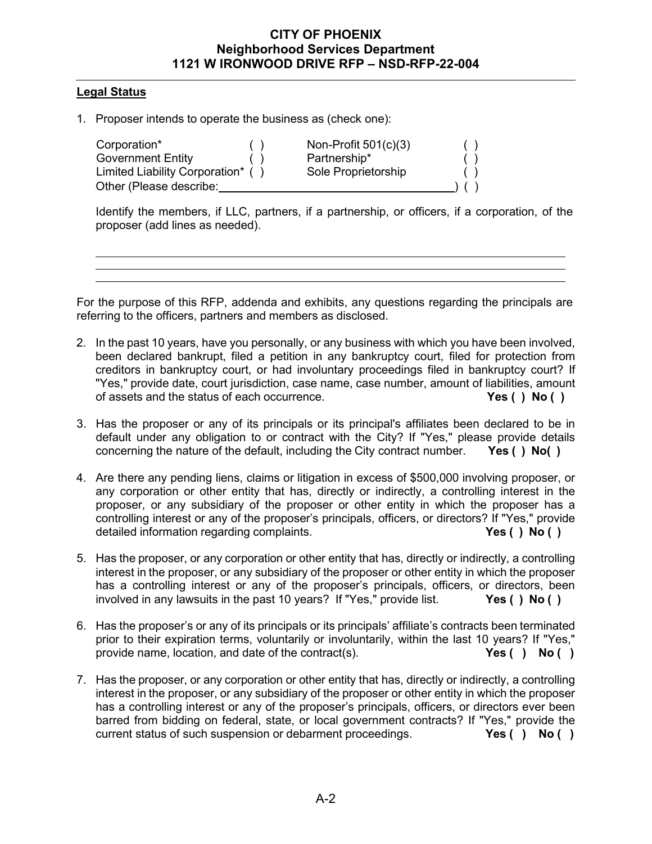#### **Legal Status**

1. Proposer intends to operate the business as (check one):

Corporation\* () Non-Profit 501(c)(3)<br>
Government Entity () Partnership\* Limited Liability Corporation\* ( ) Sole Proprietorship ( ) ( )<br>Other (Please describe: ) ( ) Other (Please describe:

( ) Partnership\* ( )<br>( ) Sole Proprietorship ( )

Identify the members, if LLC, partners, if a partnership, or officers, if a corporation, of the proposer (add lines as needed).

For the purpose of this RFP, addenda and exhibits, any questions regarding the principals are referring to the officers, partners and members as disclosed.

- 2. In the past 10 years, have you personally, or any business with which you have been involved, been declared bankrupt, filed a petition in any bankruptcy court, filed for protection from creditors in bankruptcy court, or had involuntary proceedings filed in bankruptcy court? If "Yes," provide date, court jurisdiction, case name, case number, amount of liabilities, amount of assets and the status of each occurrence. **Yes ( ) No ( )**
- 3. Has the proposer or any of its principals or its principal's affiliates been declared to be in default under any obligation to or contract with the City? If "Yes," please provide details concerning the nature of the default, including the City contract number. **Yes ( ) No( )**
- 4. Are there any pending liens, claims or litigation in excess of \$500,000 involving proposer, or any corporation or other entity that has, directly or indirectly, a controlling interest in the proposer, or any subsidiary of the proposer or other entity in which the proposer has a controlling interest or any of the proposer's principals, officers, or directors? If "Yes," provide detailed information regarding complaints. **Yes ( ) No ( )**
- 5. Has the proposer, or any corporation or other entity that has, directly or indirectly, a controlling interest in the proposer, or any subsidiary of the proposer or other entity in which the proposer has a controlling interest or any of the proposer's principals, officers, or directors, been involved in any lawsuits in the past 10 years? If "Yes," provide list. **Yes ( ) No ( )**
- 6. Has the proposer's or any of its principals or its principals' affiliate's contracts been terminated prior to their expiration terms, voluntarily or involuntarily, within the last 10 years? If "Yes," provide name, location, and date of the contract(s). **Yes ( ) No ( )**
- 7. Has the proposer, or any corporation or other entity that has, directly or indirectly, a controlling interest in the proposer, or any subsidiary of the proposer or other entity in which the proposer has a controlling interest or any of the proposer's principals, officers, or directors ever been barred from bidding on federal, state, or local government contracts? If "Yes," provide the current status of such suspension or debarment proceedings. **Yes ( ) No ( )**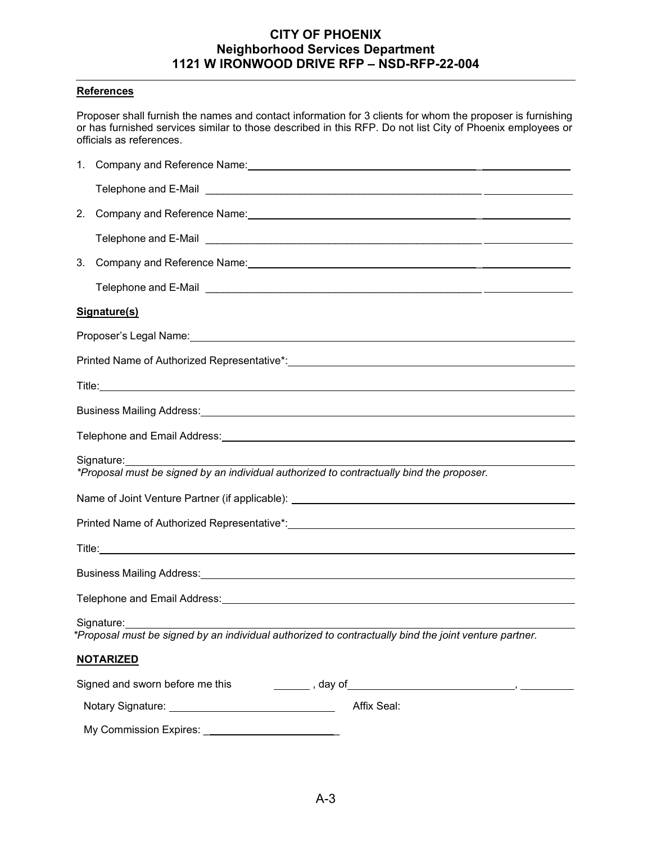#### **References**

Proposer shall furnish the names and contact information for 3 clients for whom the proposer is furnishing or has furnished services similar to those described in this RFP. Do not list City of Phoenix employees or officials as references.

| 2.                                                                                                                                                                                                                             | Company and Reference Name: Mame. And All and All and All and All and All and All and All and All and All and A                                                                                                                     |  |  |  |  |
|--------------------------------------------------------------------------------------------------------------------------------------------------------------------------------------------------------------------------------|-------------------------------------------------------------------------------------------------------------------------------------------------------------------------------------------------------------------------------------|--|--|--|--|
|                                                                                                                                                                                                                                |                                                                                                                                                                                                                                     |  |  |  |  |
| 3.                                                                                                                                                                                                                             | Company and Reference Name: Mame. And The Company and Reference Name: Manuscription of the Company and Reference Name: Manuscription of the Company of the Company of the Company of the Company of the Company of the Company      |  |  |  |  |
|                                                                                                                                                                                                                                |                                                                                                                                                                                                                                     |  |  |  |  |
|                                                                                                                                                                                                                                | Signature(s)                                                                                                                                                                                                                        |  |  |  |  |
|                                                                                                                                                                                                                                |                                                                                                                                                                                                                                     |  |  |  |  |
|                                                                                                                                                                                                                                |                                                                                                                                                                                                                                     |  |  |  |  |
|                                                                                                                                                                                                                                |                                                                                                                                                                                                                                     |  |  |  |  |
|                                                                                                                                                                                                                                | Business Mailing Address: 1988 Contract and Contract and Contract and Contract and Contract and Contract and Contract and Contract and Contract and Contract and Contract and Contract and Contract and Contract and Contract       |  |  |  |  |
|                                                                                                                                                                                                                                | Telephone and Email Address: University of the Contract of the Contract of the Contract of the Contract of the                                                                                                                      |  |  |  |  |
|                                                                                                                                                                                                                                | Signature:<br>*Proposal must be signed by an individual authorized to contractually bind the proposer.                                                                                                                              |  |  |  |  |
|                                                                                                                                                                                                                                |                                                                                                                                                                                                                                     |  |  |  |  |
| Printed Name of Authorized Representative*: Name and Authorization of Authorization of Authorization of Authorization of Authorization of Authorization of Authorization of Authorization of Authorization of Authorization of |                                                                                                                                                                                                                                     |  |  |  |  |
|                                                                                                                                                                                                                                | Title: <u>Communication</u> Communication Communication Communication Communication Communication Communication Communication Communication Communication Communication Communication Communication Communication Communication Com |  |  |  |  |
|                                                                                                                                                                                                                                | Business Mailing Address: 1988 Contract Contract Contract Contract Contract Contract Contract Contract Contract Contract Contract Contract Contract Contract Contract Contract Contract Contract Contract Contract Contract Co      |  |  |  |  |
|                                                                                                                                                                                                                                | Telephone and Email Address: Universe and Email Address: Universe and Email Address: Universe and Email Address                                                                                                                     |  |  |  |  |
|                                                                                                                                                                                                                                | Signature:<br>*Proposal must be signed by an individual authorized to contractually bind the joint venture partner.                                                                                                                 |  |  |  |  |
|                                                                                                                                                                                                                                | <b>NOTARIZED</b>                                                                                                                                                                                                                    |  |  |  |  |
|                                                                                                                                                                                                                                | Signed and sworn before me this                                                                                                                                                                                                     |  |  |  |  |
|                                                                                                                                                                                                                                | Affix Seal:                                                                                                                                                                                                                         |  |  |  |  |
|                                                                                                                                                                                                                                | My Commission Expires: ___________________________                                                                                                                                                                                  |  |  |  |  |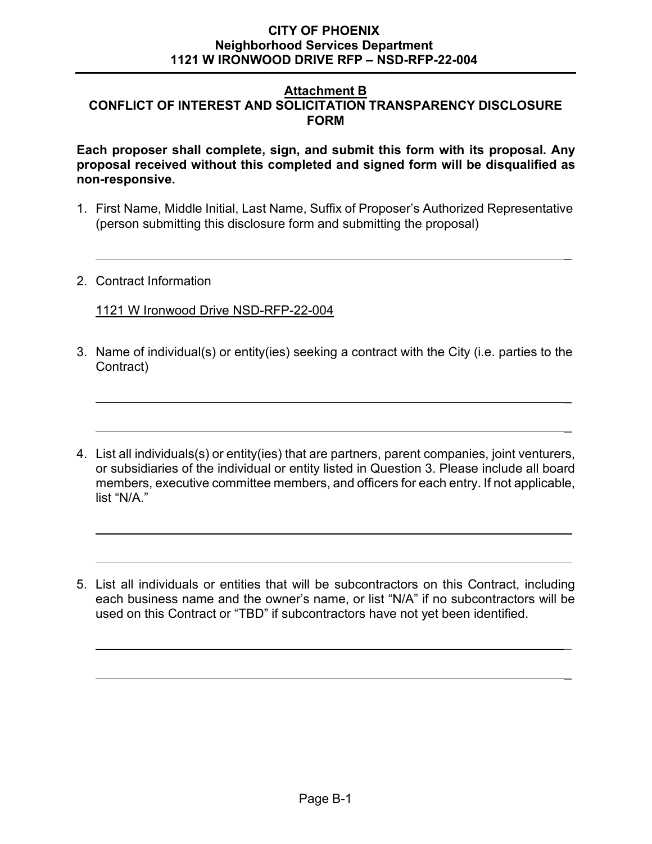#### **Attachment B CONFLICT OF INTEREST AND SOLICITATION TRANSPARENCY DISCLOSURE FORM**

**Each proposer shall complete, sign, and submit this form with its proposal. Any proposal received without this completed and signed form will be disqualified as non-responsive.**

1. First Name, Middle Initial, Last Name, Suffix of Proposer's Authorized Representative (person submitting this disclosure form and submitting the proposal)

\_

2. Contract Information

# 1121 W Ironwood Drive NSD-RFP-22-004

3. Name of individual(s) or entity(ies) seeking a contract with the City (i.e. parties to the Contract)

\_

\_

- 4. List all individuals(s) or entity(ies) that are partners, parent companies, joint venturers, or subsidiaries of the individual or entity listed in Question 3. Please include all board members, executive committee members, and officers for each entry. If not applicable, list "N/A."
- 5. List all individuals or entities that will be subcontractors on this Contract, including each business name and the owner's name, or list "N/A" if no subcontractors will be used on this Contract or "TBD" if subcontractors have not yet been identified.

\_

\_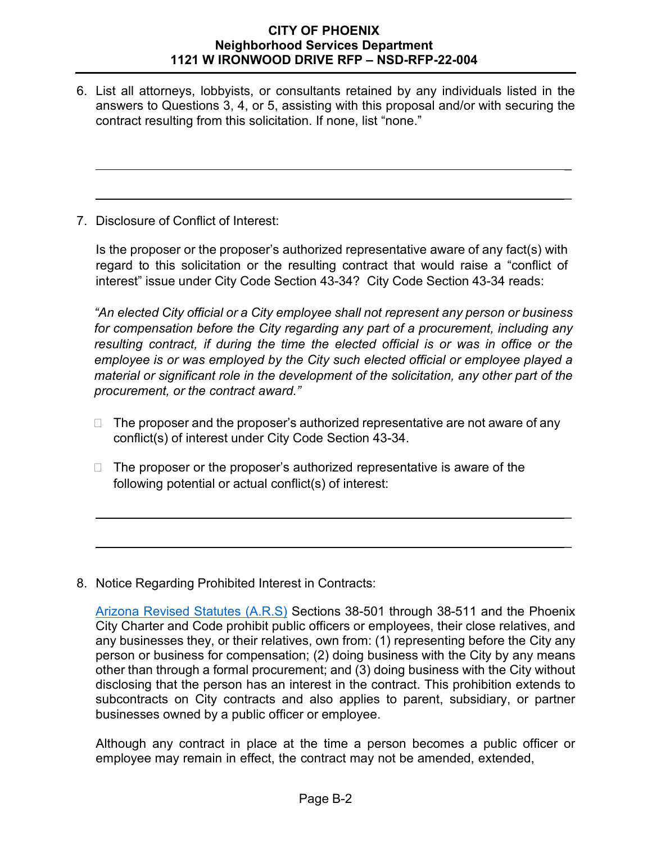6. List all attorneys, lobbyists, or consultants retained by any individuals listed in the answers to Questions 3, 4, or 5, assisting with this proposal and/or with securing the contract resulting from this solicitation. If none, list "none."

\_

\_

7. Disclosure of Conflict of Interest:

Is the proposer or the proposer's authorized representative aware of any fact(s) with regard to this solicitation or the resulting contract that would raise a "conflict of interest" issue under City Code Section 43-34? City Code Section 43-34 reads:

*"An elected City official or a City employee shall not represent any person or business for compensation before the City regarding any part of a procurement, including any resulting contract, if during the time the elected official is or was in office or the employee is or was employed by the City such elected official or employee played a material or significant role in the development of the solicitation, any other part of the procurement, or the contract award."*

 $\Box$  The proposer and the proposer's authorized representative are not aware of any conflict(s) of interest under City Code Section 43-34.

\_

\_

 $\Box$  The proposer or the proposer's authorized representative is aware of the following potential or actual conflict(s) of interest:

8. Notice Regarding Prohibited Interest in Contracts:

Although any contract in place at the time a person becomes a public officer or employee may remain in effect, the contract may not be amended, extended,

[Arizona Revised Statutes \(A.R.S\)](http://www.azleg.gov/) Sections 38-501 through 38-511 and the Phoenix City Charter and Code prohibit public officers or employees, their close relatives, and any businesses they, or their relatives, own from: (1) representing before the City any person or business for compensation; (2) doing business with the City by any means other than through a formal procurement; and (3) doing business with the City without disclosing that the person has an interest in the contract. This prohibition extends to subcontracts on City contracts and also applies to parent, subsidiary, or partner businesses owned by a public officer or employee.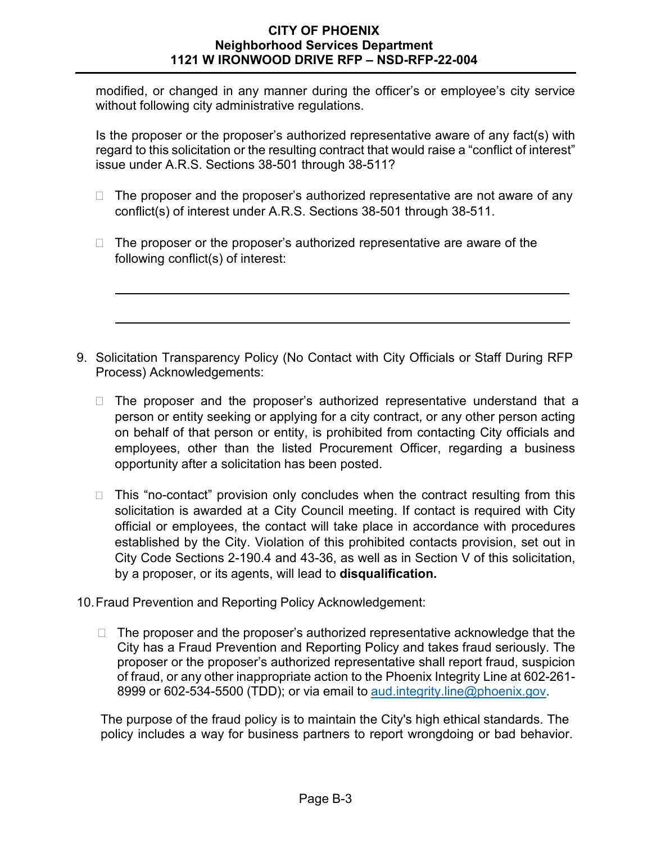modified, or changed in any manner during the officer's or employee's city service without following city administrative regulations.

Is the proposer or the proposer's authorized representative aware of any fact(s) with regard to this solicitation or the resulting contract that would raise a "conflict of interest" issue under A.R.S. Sections 38-501 through 38-511?

- $\Box$  The proposer and the proposer's authorized representative are not aware of any conflict(s) of interest under A.R.S. Sections 38-501 through 38-511.
- $\Box$  The proposer or the proposer's authorized representative are aware of the following conflict(s) of interest:
- 9. Solicitation Transparency Policy (No Contact with City Officials or Staff During RFP Process) Acknowledgements:
	- $\Box$  The proposer and the proposer's authorized representative understand that a person or entity seeking or applying for a city contract, or any other person acting on behalf of that person or entity, is prohibited from contacting City officials and employees, other than the listed Procurement Officer, regarding a business opportunity after a solicitation has been posted.
	- $\Box$  This "no-contact" provision only concludes when the contract resulting from this solicitation is awarded at a City Council meeting. If contact is required with City official or employees, the contact will take place in accordance with procedures established by the City. Violation of this prohibited contacts provision, set out in City Code Sections 2-190.4 and 43-36, as well as in Section V of this solicitation, by a proposer, or its agents, will lead to **disqualification.**
- 10.Fraud Prevention and Reporting Policy Acknowledgement:
	- $\Box$  The proposer and the proposer's authorized representative acknowledge that the City has a Fraud Prevention and Reporting Policy and takes fraud seriously. The proposer or the proposer's authorized representative shall report fraud, suspicion of fraud, or any other inappropriate action to the Phoenix Integrity Line at 602-261 8999 or 602-534-5500 (TDD); or via email to [aud.integrity.line@phoenix.gov.](mailto:aud.integrity.line@phoenix.gov)

The purpose of the fraud policy is to maintain the City's high ethical standards. The policy includes a way for business partners to report wrongdoing or bad behavior.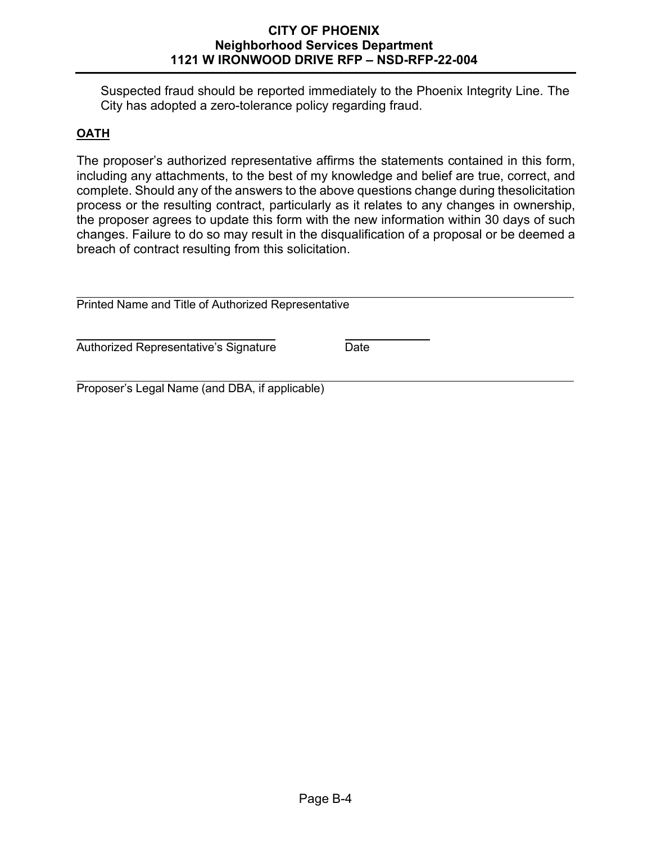Suspected fraud should be reported immediately to the Phoenix Integrity Line. The City has adopted a zero-tolerance policy regarding fraud.

# **OATH**

The proposer's authorized representative affirms the statements contained in this form, including any attachments, to the best of my knowledge and belief are true, correct, and complete. Should any of the answers to the above questions change during thesolicitation process or the resulting contract, particularly as it relates to any changes in ownership, the proposer agrees to update this form with the new information within 30 days of such changes. Failure to do so may result in the disqualification of a proposal or be deemed a breach of contract resulting from this solicitation.

| Printed Name and Title of Authorized Representative |      |  |  |  |  |  |  |
|-----------------------------------------------------|------|--|--|--|--|--|--|
| Authorized Representative's Signature               | Date |  |  |  |  |  |  |
| Proposer's Legal Name (and DBA, if applicable)      |      |  |  |  |  |  |  |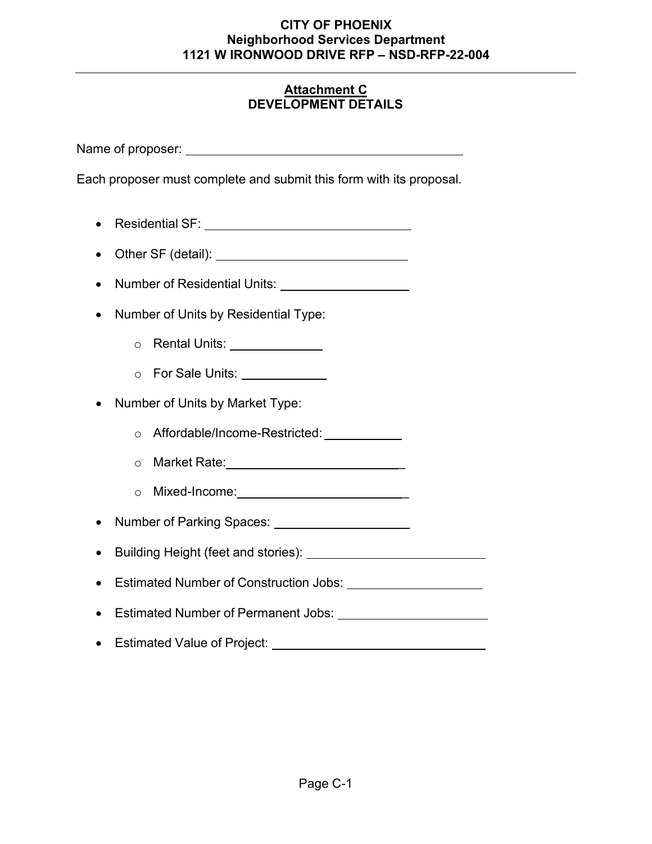# **Attachment C DEVELOPMENT DETAILS**

Name of proposer:

Each proposer must complete and submit this form with its proposal.

- Residential SF:
- Other SF (detail):
- Number of Residential Units: Units:
- Number of Units by Residential Type:
	- o Rental Units:
	- o For Sale Units:
- Number of Units by Market Type:
	- o Affordable/Income-Restricted:
	- o Market Rate: with the matter of the matter of the matter of the matter of the matter of the matter of the matter of the matter of the matter of the matter of the matter of the matter of the matter of the matter of the ma
	- o Mixed-Income: \_
- Number of Parking Spaces:
- Building Height (feet and stories):
- Estimated Number of Construction Jobs:
- Estimated Number of Permanent Jobs:
- Estimated Value of Project: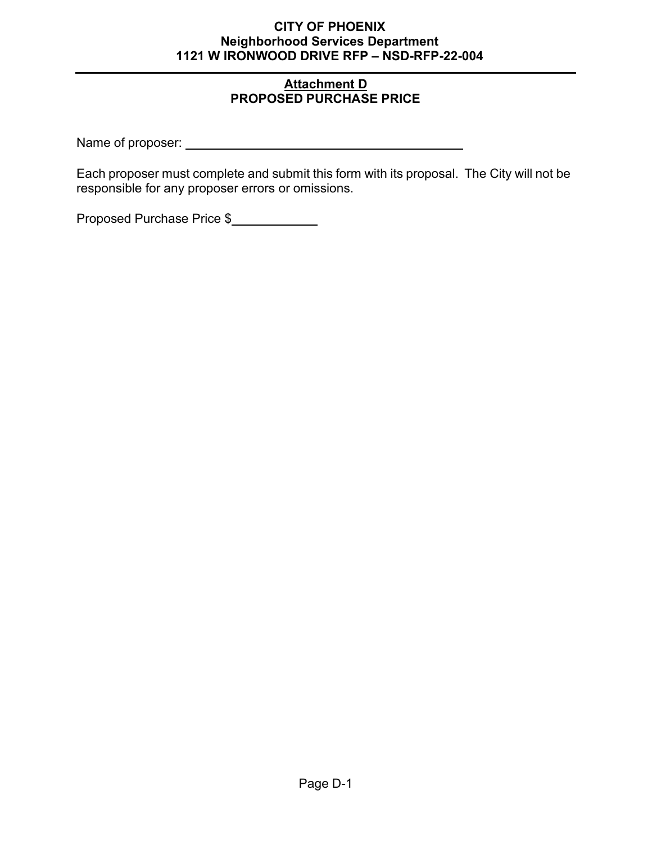# **Attachment D PROPOSED PURCHASE PRICE**

Name of proposer:

Each proposer must complete and submit this form with its proposal. The City will not be responsible for any proposer errors or omissions.

Proposed Purchase Price \$